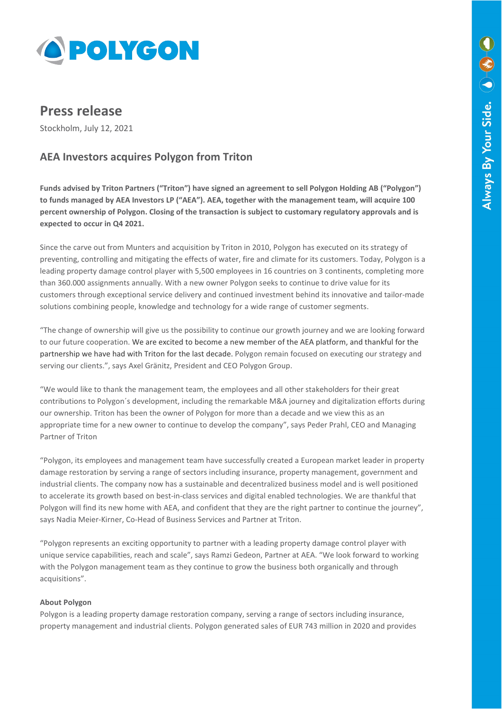

# **Press release**

Stockholm, July 12, 2021

# **AEA Investors acquires Polygon from Triton**

**Funds advised by Triton Partners ("Triton") have signed an agreement to sell Polygon Holding AB ("Polygon") to funds managed by AEA Investors LP ("AEA"). AEA, together with the management team, will acquire 100 percent ownership of Polygon. Closing of the transaction is subject to customary regulatory approvals and is expected to occur in Q4 2021.**

Since the carve out from Munters and acquisition by Triton in 2010, Polygon has executed on its strategy of preventing, controlling and mitigating the effects of water, fire and climate for its customers. Today, Polygon is a leading property damage control player with 5,500 employees in 16 countries on 3 continents, completing more than 360.000 assignments annually. With a new owner Polygon seeks to continue to drive value for its customers through exceptional service delivery and continued investment behind its innovative and tailor-made solutions combining people, knowledge and technology for a wide range of customer segments.

"The change of ownership will give us the possibility to continue our growth journey and we are looking forward to our future cooperation. We are excited to become a new member of the AEA platform, and thankful for the partnership we have had with Triton for the last decade. Polygon remain focused on executing our strategy and serving our clients.", says Axel Gränitz, President and CEO Polygon Group.

"We would like to thank the management team, the employees and all other stakeholders for their great contributions to Polygon´s development, including the remarkable M&A journey and digitalization efforts during our ownership. Triton has been the owner of Polygon for more than a decade and we view this as an appropriate time for a new owner to continue to develop the company", says Peder Prahl, CEO and Managing Partner of Triton

"Polygon, its employees and management team have successfully created a European market leader in property damage restoration by serving a range of sectors including insurance, property management, government and industrial clients. The company now has a sustainable and decentralized business model and is well positioned to accelerate its growth based on best-in-class services and digital enabled technologies. We are thankful that Polygon will find its new home with AEA, and confident that they are the right partner to continue the journey", says Nadia Meier-Kirner, Co-Head of Business Services and Partner at Triton.

"Polygon represents an exciting opportunity to partner with a leading property damage control player with unique service capabilities, reach and scale", says Ramzi Gedeon, Partner at AEA. "We look forward to working with the Polygon management team as they continue to grow the business both organically and through acquisitions".

## **About Polygon**

Polygon is a leading property damage restoration company, serving a range of sectors including insurance, property management and industrial clients. Polygon generated sales of EUR 743 million in 2020 and provides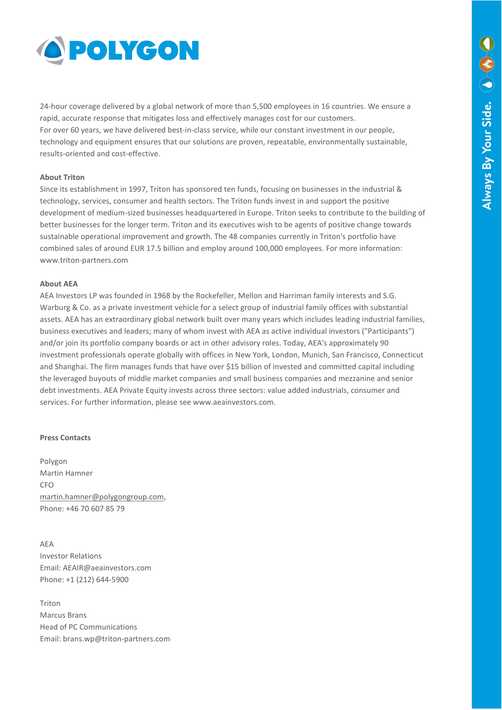

24-hour coverage delivered by a global network of more than 5,500 employees in 16 countries. We ensure a rapid, accurate response that mitigates loss and effectively manages cost for our customers. For over 60 years, we have delivered best-in-class service, while our constant investment in our people, technology and equipment ensures that our solutions are proven, repeatable, environmentally sustainable, results-oriented and cost-effective.

#### **About Triton**

Since its establishment in 1997, Triton has sponsored ten funds, focusing on businesses in the industrial & technology, services, consumer and health sectors. The Triton funds invest in and support the positive development of medium-sized businesses headquartered in Europe. Triton seeks to contribute to the building of better businesses for the longer term. Triton and its executives wish to be agents of positive change towards sustainable operational improvement and growth. The 48 companies currently in Triton's portfolio have combined sales of around EUR 17.5 billion and employ around 100,000 employees. For more information: www.triton-partners.com

#### **About AEA**

AEA Investors LP was founded in 1968 by the Rockefeller, Mellon and Harriman family interests and S.G. Warburg & Co. as a private investment vehicle for a select group of industrial family offices with substantial assets. AEA has an extraordinary global network built over many years which includes leading industrial families, business executives and leaders; many of whom invest with AEA as active individual investors ("Participants") and/or join its portfolio company boards or act in other advisory roles. Today, AEA's approximately 90 investment professionals operate globally with offices in New York, London, Munich, San Francisco, Connecticut and Shanghai. The firm manages funds that have over \$15 billion of invested and committed capital including the leveraged buyouts of middle market companies and small business companies and mezzanine and senior debt investments. AEA Private Equity invests across three sectors: value added industrials, consumer and services. For further information, please see www.aeainvestors.com.

### **Press Contacts**

Polygon Martin Hamner CFO [martin.hamner@polygongroup.com,](mailto:martin.hamner@polygongroup.com)  Phone: +46 70 607 85 79

AEA Investor Relations Email: AEAIR@aeainvestors.com Phone: +1 (212) 644-5900

Triton Marcus Brans Head of PC Communications Email: brans.wp@triton-partners.com